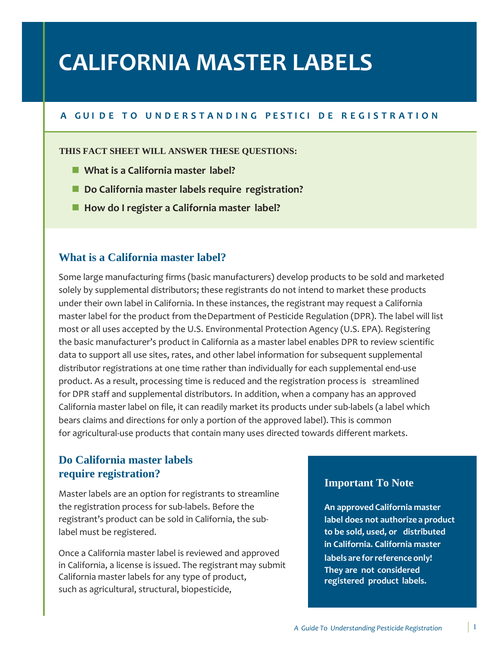# **CALIFORNIA MASTER LABELS**

# A GUI DE TO UNDERSTANDING PESTICI DE REGISTRATION

#### **THIS FACT SHEET WILL ANSWER THESE QUESTIONS:**

- **What is a California master label?**
- Do California master labels require registration?
- How do I register a California master label?

# **What is a California master label?**

Some large manufacturing firms (basic manufacturers) develop products to be sold and marketed solely by supplemental distributors; these registrants do not intend to market these products under their own label in California. In these instances, the registrant may request a California master label for the product from theDepartment of Pesticide Regulation (DPR). The label will list most or all uses accepted by the U.S. Environmental Protection Agency (U.S. EPA). Registering the basic manufacturer's product in California as a master label enables DPR to review scientific data to support all use sites, rates, and other label information for subsequent supplemental distributor registrations at one time rather than individually for each supplemental end-use product. As a result, processing time is reduced and the registration process is streamlined for DPR staff and supplemental distributors. In addition, when a company has an approved California master label on file, it can readily market its products under sub-labels (a label which bears claims and directions for only a portion of the approved label). This is common for agricultural-use products that contain many uses directed towards different markets.

# **Do California master labels require registration?**

Master labels are an option for registrants to streamline the registration process for sub-labels. Before the registrant's product can be sold in California, the sublabel must be registered.

Once a California master label is reviewed and approved in California, a license is issued. The registrant may submit California master labels for any type of product, such as agricultural, structural, biopesticide,

## **Important To Note**

**An approved California master label does not authorize a product to be sold, used, or distributed in California. California master labels are forreferenceonly! They are not considered registered product labels.**